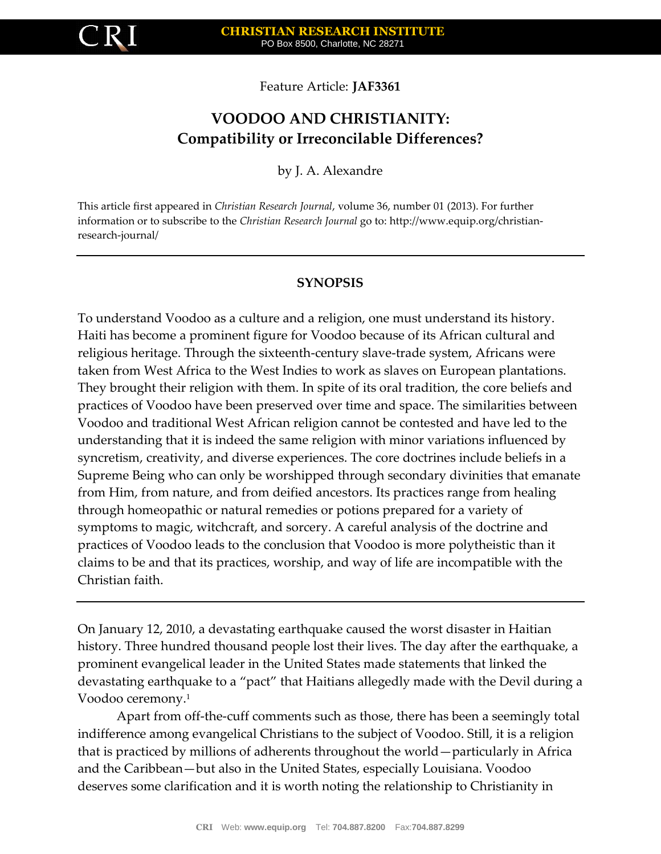

Feature Article: **JAF3361**

# **VOODOO AND CHRISTIANITY: Compatibility or Irreconcilable Differences?**

by J. A. Alexandre

This article first appeared in *Christian Research Journal*, volume 36, number 01 (2013). For further information or to subscribe to the *Christian Research Journal* go to: http://www.equip.org/christianresearch-journal/

# **SYNOPSIS**

To understand Voodoo as a culture and a religion, one must understand its history. Haiti has become a prominent figure for Voodoo because of its African cultural and religious heritage. Through the sixteenth-century slave-trade system, Africans were taken from West Africa to the West Indies to work as slaves on European plantations. They brought their religion with them. In spite of its oral tradition, the core beliefs and practices of Voodoo have been preserved over time and space. The similarities between Voodoo and traditional West African religion cannot be contested and have led to the understanding that it is indeed the same religion with minor variations influenced by syncretism, creativity, and diverse experiences. The core doctrines include beliefs in a Supreme Being who can only be worshipped through secondary divinities that emanate from Him, from nature, and from deified ancestors. Its practices range from healing through homeopathic or natural remedies or potions prepared for a variety of symptoms to magic, witchcraft, and sorcery. A careful analysis of the doctrine and practices of Voodoo leads to the conclusion that Voodoo is more polytheistic than it claims to be and that its practices, worship, and way of life are incompatible with the Christian faith.

On January 12, 2010, a devastating earthquake caused the worst disaster in Haitian history. Three hundred thousand people lost their lives. The day after the earthquake, a prominent evangelical leader in the United States made statements that linked the devastating earthquake to a "pact" that Haitians allegedly made with the Devil during a Voodoo ceremony.<sup>1</sup>

Apart from off-the-cuff comments such as those, there has been a seemingly total indifference among evangelical Christians to the subject of Voodoo. Still, it is a religion that is practiced by millions of adherents throughout the world—particularly in Africa and the Caribbean—but also in the United States, especially Louisiana. Voodoo deserves some clarification and it is worth noting the relationship to Christianity in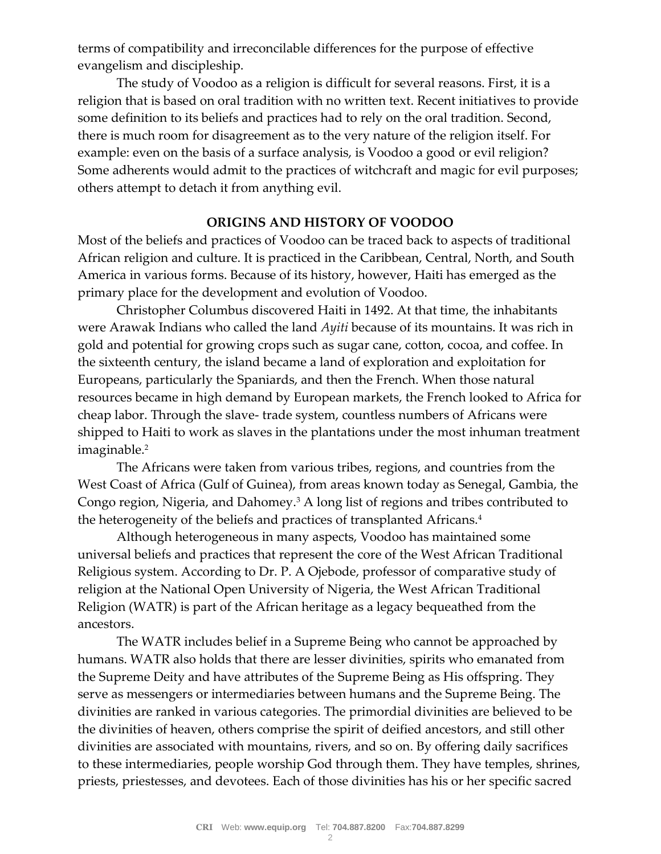terms of compatibility and irreconcilable differences for the purpose of effective evangelism and discipleship.

The study of Voodoo as a religion is difficult for several reasons. First, it is a religion that is based on oral tradition with no written text. Recent initiatives to provide some definition to its beliefs and practices had to rely on the oral tradition. Second, there is much room for disagreement as to the very nature of the religion itself. For example: even on the basis of a surface analysis, is Voodoo a good or evil religion? Some adherents would admit to the practices of witchcraft and magic for evil purposes; others attempt to detach it from anything evil.

## **ORIGINS AND HISTORY OF VOODOO**

Most of the beliefs and practices of Voodoo can be traced back to aspects of traditional African religion and culture. It is practiced in the Caribbean, Central, North, and South America in various forms. Because of its history, however, Haiti has emerged as the primary place for the development and evolution of Voodoo.

Christopher Columbus discovered Haiti in 1492. At that time, the inhabitants were Arawak Indians who called the land *Ayiti* because of its mountains. It was rich in gold and potential for growing crops such as sugar cane, cotton, cocoa, and coffee. In the sixteenth century, the island became a land of exploration and exploitation for Europeans, particularly the Spaniards, and then the French. When those natural resources became in high demand by European markets, the French looked to Africa for cheap labor. Through the slave- trade system, countless numbers of Africans were shipped to Haiti to work as slaves in the plantations under the most inhuman treatment imaginable.<sup>2</sup>

The Africans were taken from various tribes, regions, and countries from the West Coast of Africa (Gulf of Guinea), from areas known today as Senegal, Gambia, the Congo region, Nigeria, and Dahomey.<sup>3</sup> A long list of regions and tribes contributed to the heterogeneity of the beliefs and practices of transplanted Africans.<sup>4</sup>

Although heterogeneous in many aspects, Voodoo has maintained some universal beliefs and practices that represent the core of the West African Traditional Religious system. According to Dr. P. A Ojebode, professor of comparative study of religion at the National Open University of Nigeria, the West African Traditional Religion (WATR) is part of the African heritage as a legacy bequeathed from the ancestors.

The WATR includes belief in a Supreme Being who cannot be approached by humans. WATR also holds that there are lesser divinities, spirits who emanated from the Supreme Deity and have attributes of the Supreme Being as His offspring. They serve as messengers or intermediaries between humans and the Supreme Being. The divinities are ranked in various categories. The primordial divinities are believed to be the divinities of heaven, others comprise the spirit of deified ancestors, and still other divinities are associated with mountains, rivers, and so on. By offering daily sacrifices to these intermediaries, people worship God through them. They have temples, shrines, priests, priestesses, and devotees. Each of those divinities has his or her specific sacred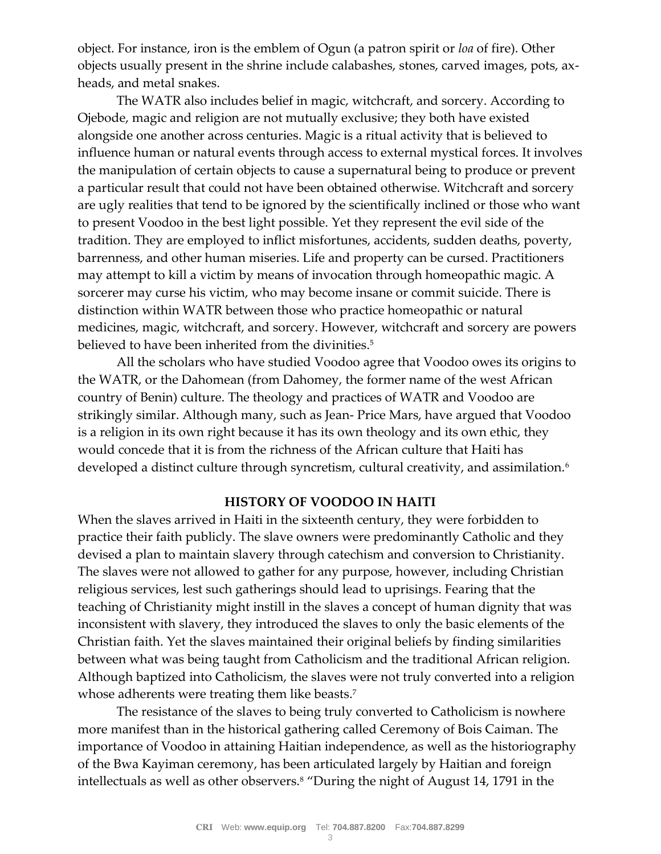object. For instance, iron is the emblem of Ogun (a patron spirit or *loa* of fire). Other objects usually present in the shrine include calabashes, stones, carved images, pots, axheads, and metal snakes.

The WATR also includes belief in magic, witchcraft, and sorcery. According to Ojebode, magic and religion are not mutually exclusive; they both have existed alongside one another across centuries. Magic is a ritual activity that is believed to influence human or natural events through access to external mystical forces. It involves the manipulation of certain objects to cause a supernatural being to produce or prevent a particular result that could not have been obtained otherwise. Witchcraft and sorcery are ugly realities that tend to be ignored by the scientifically inclined or those who want to present Voodoo in the best light possible. Yet they represent the evil side of the tradition. They are employed to inflict misfortunes, accidents, sudden deaths, poverty, barrenness, and other human miseries. Life and property can be cursed. Practitioners may attempt to kill a victim by means of invocation through homeopathic magic. A sorcerer may curse his victim, who may become insane or commit suicide. There is distinction within WATR between those who practice homeopathic or natural medicines, magic, witchcraft, and sorcery. However, witchcraft and sorcery are powers believed to have been inherited from the divinities.<sup>5</sup>

All the scholars who have studied Voodoo agree that Voodoo owes its origins to the WATR, or the Dahomean (from Dahomey, the former name of the west African country of Benin) culture. The theology and practices of WATR and Voodoo are strikingly similar. Although many, such as Jean- Price Mars, have argued that Voodoo is a religion in its own right because it has its own theology and its own ethic, they would concede that it is from the richness of the African culture that Haiti has developed a distinct culture through syncretism, cultural creativity, and assimilation.<sup>6</sup>

### **HISTORY OF VOODOO IN HAITI**

When the slaves arrived in Haiti in the sixteenth century, they were forbidden to practice their faith publicly. The slave owners were predominantly Catholic and they devised a plan to maintain slavery through catechism and conversion to Christianity. The slaves were not allowed to gather for any purpose, however, including Christian religious services, lest such gatherings should lead to uprisings. Fearing that the teaching of Christianity might instill in the slaves a concept of human dignity that was inconsistent with slavery, they introduced the slaves to only the basic elements of the Christian faith. Yet the slaves maintained their original beliefs by finding similarities between what was being taught from Catholicism and the traditional African religion. Although baptized into Catholicism, the slaves were not truly converted into a religion whose adherents were treating them like beasts.<sup>7</sup>

The resistance of the slaves to being truly converted to Catholicism is nowhere more manifest than in the historical gathering called Ceremony of Bois Caiman. The importance of Voodoo in attaining Haitian independence, as well as the historiography of the Bwa Kayiman ceremony, has been articulated largely by Haitian and foreign intellectuals as well as other observers.<sup>8</sup> "During the night of August 14, 1791 in the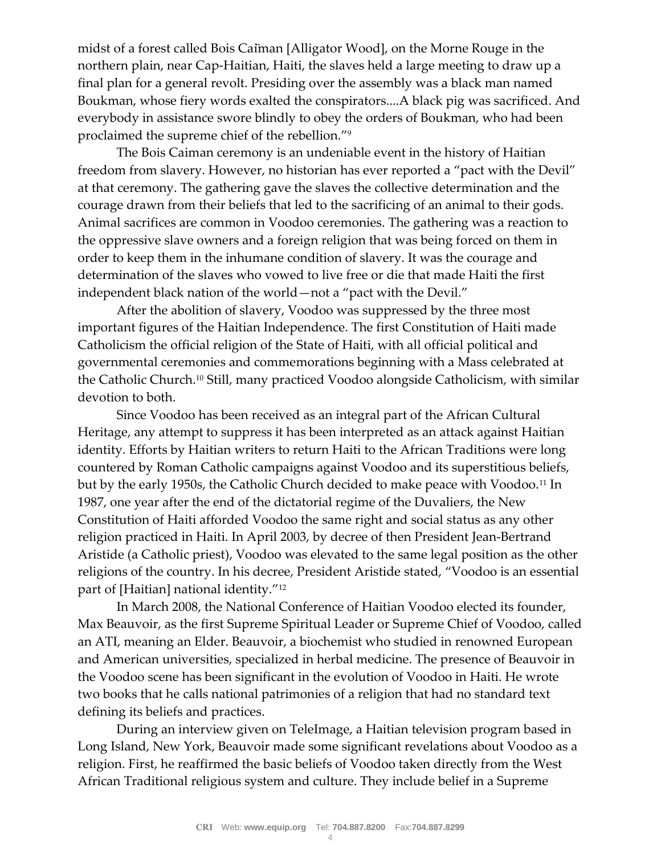midst of a forest called Bois Caiman [Alligator Wood], on the Morne Rouge in the northern plain, near Cap-Haitian, Haiti, the slaves held a large meeting to draw up a final plan for a general revolt. Presiding over the assembly was a black man named Boukman, whose fiery words exalted the conspirators....A black pig was sacrificed. And everybody in assistance swore blindly to obey the orders of Boukman, who had been proclaimed the supreme chief of the rebellion."<sup>9</sup>

The Bois Caiman ceremony is an undeniable event in the history of Haitian freedom from slavery. However, no historian has ever reported a "pact with the Devil" at that ceremony. The gathering gave the slaves the collective determination and the courage drawn from their beliefs that led to the sacrificing of an animal to their gods. Animal sacrifices are common in Voodoo ceremonies. The gathering was a reaction to the oppressive slave owners and a foreign religion that was being forced on them in order to keep them in the inhumane condition of slavery. It was the courage and determination of the slaves who vowed to live free or die that made Haiti the first independent black nation of the world—not a "pact with the Devil."

After the abolition of slavery, Voodoo was suppressed by the three most important figures of the Haitian Independence. The first Constitution of Haiti made Catholicism the official religion of the State of Haiti, with all official political and governmental ceremonies and commemorations beginning with a Mass celebrated at the Catholic Church.<sup>10</sup> Still, many practiced Voodoo alongside Catholicism, with similar devotion to both.

Since Voodoo has been received as an integral part of the African Cultural Heritage, any attempt to suppress it has been interpreted as an attack against Haitian identity. Efforts by Haitian writers to return Haiti to the African Traditions were long countered by Roman Catholic campaigns against Voodoo and its superstitious beliefs, but by the early 1950s, the Catholic Church decided to make peace with Voodoo.<sup>11</sup> In 1987, one year after the end of the dictatorial regime of the Duvaliers, the New Constitution of Haiti afforded Voodoo the same right and social status as any other religion practiced in Haiti. In April 2003, by decree of then President Jean-Bertrand Aristide (a Catholic priest), Voodoo was elevated to the same legal position as the other religions of the country. In his decree, President Aristide stated, "Voodoo is an essential part of [Haitian] national identity."<sup>12</sup>

In March 2008, the National Conference of Haitian Voodoo elected its founder, Max Beauvoir, as the first Supreme Spiritual Leader or Supreme Chief of Voodoo, called an ATI, meaning an Elder. Beauvoir, a biochemist who studied in renowned European and American universities, specialized in herbal medicine. The presence of Beauvoir in the Voodoo scene has been significant in the evolution of Voodoo in Haiti. He wrote two books that he calls national patrimonies of a religion that had no standard text defining its beliefs and practices.

During an interview given on TeleImage, a Haitian television program based in Long Island, New York, Beauvoir made some significant revelations about Voodoo as a religion. First, he reaffirmed the basic beliefs of Voodoo taken directly from the West African Traditional religious system and culture. They include belief in a Supreme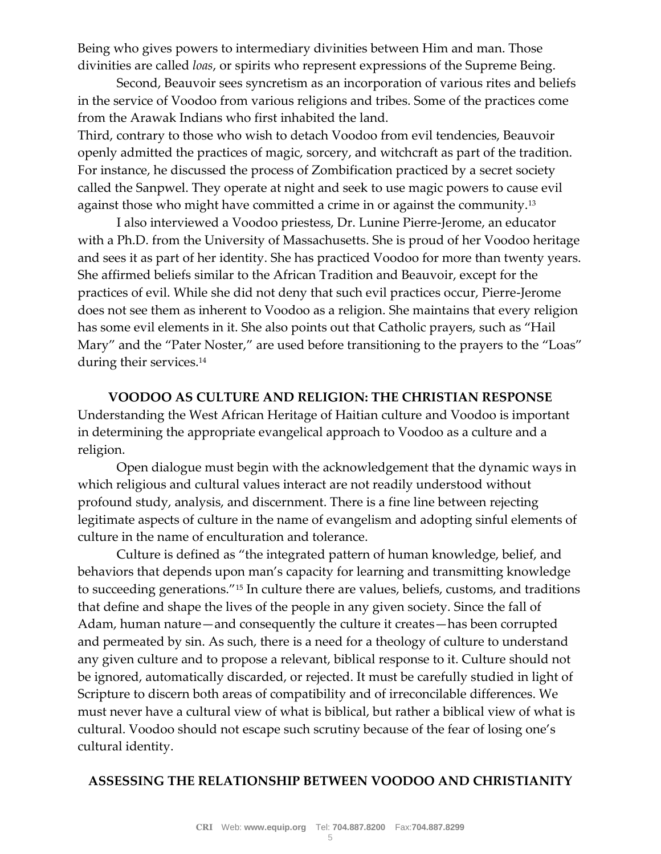Being who gives powers to intermediary divinities between Him and man. Those divinities are called *loas*, or spirits who represent expressions of the Supreme Being.

Second, Beauvoir sees syncretism as an incorporation of various rites and beliefs in the service of Voodoo from various religions and tribes. Some of the practices come from the Arawak Indians who first inhabited the land.

Third, contrary to those who wish to detach Voodoo from evil tendencies, Beauvoir openly admitted the practices of magic, sorcery, and witchcraft as part of the tradition. For instance, he discussed the process of Zombification practiced by a secret society called the Sanpwel. They operate at night and seek to use magic powers to cause evil against those who might have committed a crime in or against the community.<sup>13</sup>

I also interviewed a Voodoo priestess, Dr. Lunine Pierre-Jerome, an educator with a Ph.D. from the University of Massachusetts. She is proud of her Voodoo heritage and sees it as part of her identity. She has practiced Voodoo for more than twenty years. She affirmed beliefs similar to the African Tradition and Beauvoir, except for the practices of evil. While she did not deny that such evil practices occur, Pierre-Jerome does not see them as inherent to Voodoo as a religion. She maintains that every religion has some evil elements in it. She also points out that Catholic prayers, such as "Hail Mary" and the "Pater Noster," are used before transitioning to the prayers to the "Loas" during their services.<sup>14</sup>

**VOODOO AS CULTURE AND RELIGION: THE CHRISTIAN RESPONSE** Understanding the West African Heritage of Haitian culture and Voodoo is important in determining the appropriate evangelical approach to Voodoo as a culture and a religion.

Open dialogue must begin with the acknowledgement that the dynamic ways in which religious and cultural values interact are not readily understood without profound study, analysis, and discernment. There is a fine line between rejecting legitimate aspects of culture in the name of evangelism and adopting sinful elements of culture in the name of enculturation and tolerance.

Culture is defined as "the integrated pattern of human knowledge, belief, and behaviors that depends upon man's capacity for learning and transmitting knowledge to succeeding generations."<sup>15</sup> In culture there are values, beliefs, customs, and traditions that define and shape the lives of the people in any given society. Since the fall of Adam, human nature—and consequently the culture it creates—has been corrupted and permeated by sin. As such, there is a need for a theology of culture to understand any given culture and to propose a relevant, biblical response to it. Culture should not be ignored, automatically discarded, or rejected. It must be carefully studied in light of Scripture to discern both areas of compatibility and of irreconcilable differences. We must never have a cultural view of what is biblical, but rather a biblical view of what is cultural. Voodoo should not escape such scrutiny because of the fear of losing one's cultural identity.

### **ASSESSING THE RELATIONSHIP BETWEEN VOODOO AND CHRISTIANITY**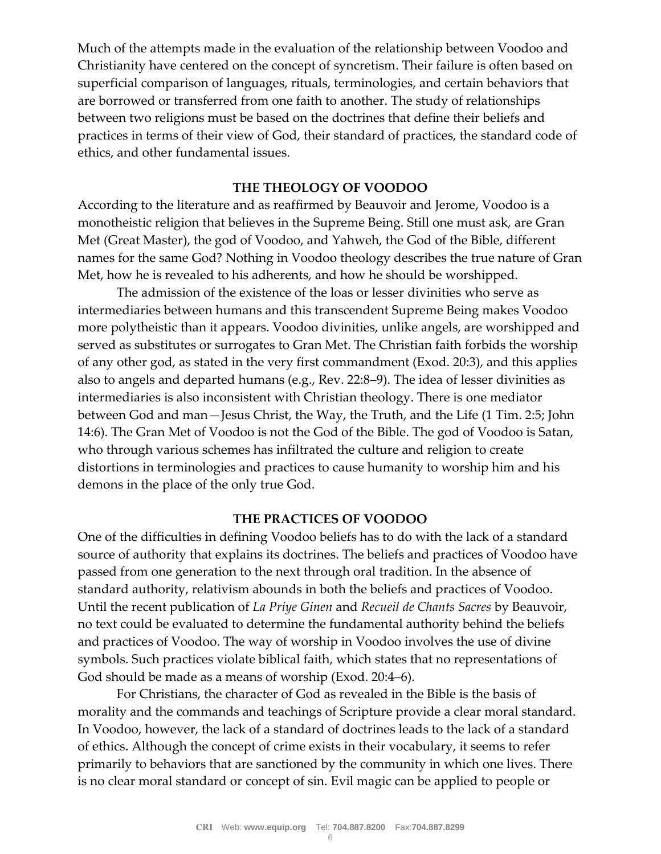Much of the attempts made in the evaluation of the relationship between Voodoo and Christianity have centered on the concept of syncretism. Their failure is often based on superficial comparison of languages, rituals, terminologies, and certain behaviors that are borrowed or transferred from one faith to another. The study of relationships between two religions must be based on the doctrines that define their beliefs and practices in terms of their view of God, their standard of practices, the standard code of ethics, and other fundamental issues.

### **THE THEOLOGY OF VOODOO**

According to the literature and as reaffirmed by Beauvoir and Jerome, Voodoo is a monotheistic religion that believes in the Supreme Being. Still one must ask, are Gran Met (Great Master), the god of Voodoo, and Yahweh, the God of the Bible, different names for the same God? Nothing in Voodoo theology describes the true nature of Gran Met, how he is revealed to his adherents, and how he should be worshipped.

The admission of the existence of the loas or lesser divinities who serve as intermediaries between humans and this transcendent Supreme Being makes Voodoo more polytheistic than it appears. Voodoo divinities, unlike angels, are worshipped and served as substitutes or surrogates to Gran Met. The Christian faith forbids the worship of any other god, as stated in the very first commandment (Exod. 20:3), and this applies also to angels and departed humans (e.g., Rev. 22:8–9). The idea of lesser divinities as intermediaries is also inconsistent with Christian theology. There is one mediator between God and man—Jesus Christ, the Way, the Truth, and the Life (1 Tim. 2:5; John 14:6). The Gran Met of Voodoo is not the God of the Bible. The god of Voodoo is Satan, who through various schemes has infiltrated the culture and religion to create distortions in terminologies and practices to cause humanity to worship him and his demons in the place of the only true God.

#### **THE PRACTICES OF VOODOO**

One of the difficulties in defining Voodoo beliefs has to do with the lack of a standard source of authority that explains its doctrines. The beliefs and practices of Voodoo have passed from one generation to the next through oral tradition. In the absence of standard authority, relativism abounds in both the beliefs and practices of Voodoo. Until the recent publication of *La Priye Ginen* and *Recueil de Chants Sacres* by Beauvoir, no text could be evaluated to determine the fundamental authority behind the beliefs and practices of Voodoo. The way of worship in Voodoo involves the use of divine symbols. Such practices violate biblical faith, which states that no representations of God should be made as a means of worship (Exod. 20:4–6).

For Christians, the character of God as revealed in the Bible is the basis of morality and the commands and teachings of Scripture provide a clear moral standard. In Voodoo, however, the lack of a standard of doctrines leads to the lack of a standard of ethics. Although the concept of crime exists in their vocabulary, it seems to refer primarily to behaviors that are sanctioned by the community in which one lives. There is no clear moral standard or concept of sin. Evil magic can be applied to people or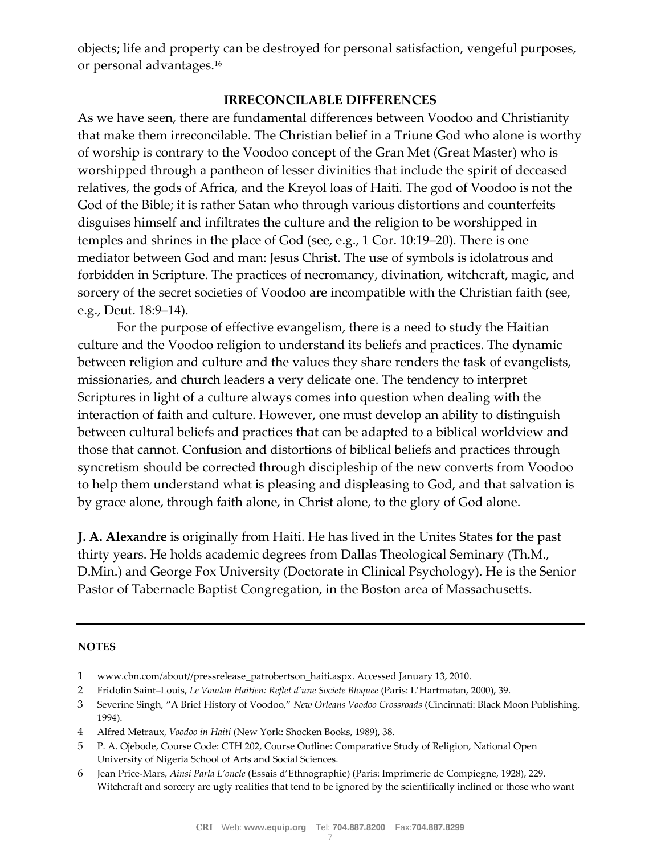objects; life and property can be destroyed for personal satisfaction, vengeful purposes, or personal advantages.<sup>16</sup>

# **IRRECONCILABLE DIFFERENCES**

As we have seen, there are fundamental differences between Voodoo and Christianity that make them irreconcilable. The Christian belief in a Triune God who alone is worthy of worship is contrary to the Voodoo concept of the Gran Met (Great Master) who is worshipped through a pantheon of lesser divinities that include the spirit of deceased relatives, the gods of Africa, and the Kreyol loas of Haiti. The god of Voodoo is not the God of the Bible; it is rather Satan who through various distortions and counterfeits disguises himself and infiltrates the culture and the religion to be worshipped in temples and shrines in the place of God (see, e.g., 1 Cor. 10:19–20). There is one mediator between God and man: Jesus Christ. The use of symbols is idolatrous and forbidden in Scripture. The practices of necromancy, divination, witchcraft, magic, and sorcery of the secret societies of Voodoo are incompatible with the Christian faith (see, e.g., Deut. 18:9–14).

For the purpose of effective evangelism, there is a need to study the Haitian culture and the Voodoo religion to understand its beliefs and practices. The dynamic between religion and culture and the values they share renders the task of evangelists, missionaries, and church leaders a very delicate one. The tendency to interpret Scriptures in light of a culture always comes into question when dealing with the interaction of faith and culture. However, one must develop an ability to distinguish between cultural beliefs and practices that can be adapted to a biblical worldview and those that cannot. Confusion and distortions of biblical beliefs and practices through syncretism should be corrected through discipleship of the new converts from Voodoo to help them understand what is pleasing and displeasing to God, and that salvation is by grace alone, through faith alone, in Christ alone, to the glory of God alone.

**J. A. Alexandre** is originally from Haiti. He has lived in the Unites States for the past thirty years. He holds academic degrees from Dallas Theological Seminary (Th.M., D.Min.) and George Fox University (Doctorate in Clinical Psychology). He is the Senior Pastor of Tabernacle Baptist Congregation, in the Boston area of Massachusetts.

#### **NOTES**

- 1 www.cbn.com/about//pressrelease\_patrobertson\_haiti.aspx. Accessed January 13, 2010.
- 2 Fridolin Saint–Louis, *Le Voudou Haitien: Reflet d'une Societe Bloquee* (Paris: L'Hartmatan, 2000), 39.
- 3 Severine Singh, "A Brief History of Voodoo," *New Orleans Voodoo Crossroads* (Cincinnati: Black Moon Publishing, 1994).
- 4 Alfred Metraux, *Voodoo in Haiti* (New York: Shocken Books, 1989), 38.
- 5 P. A. Ojebode, Course Code: CTH 202, Course Outline: Comparative Study of Religion, National Open University of Nigeria School of Arts and Social Sciences.
- 6 Jean Price-Mars, *Ainsi Parla L'oncle* (Essais d'Ethnographie) (Paris: Imprimerie de Compiegne, 1928), 229. Witchcraft and sorcery are ugly realities that tend to be ignored by the scientifically inclined or those who want